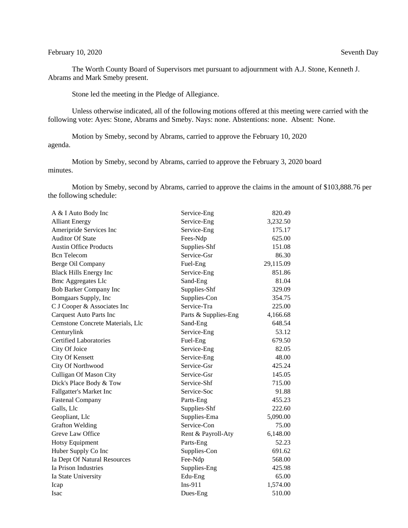## February 10, 2020 Seventh Day

The Worth County Board of Supervisors met pursuant to adjournment with A.J. Stone, Kenneth J. Abrams and Mark Smeby present.

Stone led the meeting in the Pledge of Allegiance.

Unless otherwise indicated, all of the following motions offered at this meeting were carried with the following vote: Ayes: Stone, Abrams and Smeby. Nays: none. Abstentions: none. Absent: None.

Motion by Smeby, second by Abrams, carried to approve the February 10, 2020 agenda.

Motion by Smeby, second by Abrams, carried to approve the February 3, 2020 board minutes.

Motion by Smeby, second by Abrams, carried to approve the claims in the amount of \$103,888.76 per the following schedule:

| A & I Auto Body Inc              | Service-Eng          | 820.49    |
|----------------------------------|----------------------|-----------|
| <b>Alliant Energy</b>            | Service-Eng          | 3,232.50  |
| Ameripride Services Inc          | Service-Eng          | 175.17    |
| <b>Auditor Of State</b>          | Fees-Ndp             | 625.00    |
| <b>Austin Office Products</b>    | Supplies-Shf         | 151.08    |
| <b>Bcn</b> Telecom               | Service-Gsr          | 86.30     |
| Berge Oil Company                | Fuel-Eng             | 29,115.09 |
| <b>Black Hills Energy Inc</b>    | Service-Eng          | 851.86    |
| <b>Bmc Aggregates Llc</b>        | Sand-Eng             | 81.04     |
| Bob Barker Company Inc           | Supplies-Shf         | 329.09    |
| Bomgaars Supply, Inc             | Supplies-Con         | 354.75    |
| C J Cooper & Associates Inc      | Service-Tra          | 225.00    |
| <b>Carquest Auto Parts Inc</b>   | Parts & Supplies-Eng | 4,166.68  |
| Cemstone Concrete Materials, Llc | Sand-Eng             | 648.54    |
| Centurylink                      | Service-Eng          | 53.12     |
| <b>Certified Laboratories</b>    | Fuel-Eng             | 679.50    |
| City Of Joice                    | Service-Eng          | 82.05     |
| City Of Kensett                  | Service-Eng          | 48.00     |
| City Of Northwood                | Service-Gsr          | 425.24    |
| Culligan Of Mason City           | Service-Gsr          | 145.05    |
| Dick's Place Body & Tow          | Service-Shf          | 715.00    |
| Fallgatter's Market Inc          | Service-Soc          | 91.88     |
| <b>Fastenal Company</b>          | Parts-Eng            | 455.23    |
| Galls, Llc                       | Supplies-Shf         | 222.60    |
| Geopliant, Llc                   | Supplies-Ema         | 5,090.00  |
| <b>Grafton Welding</b>           | Service-Con          | 75.00     |
| Greve Law Office                 | Rent & Payroll-Aty   | 6,148.00  |
| <b>Hotsy Equipment</b>           | Parts-Eng            | 52.23     |
| Huber Supply Co Inc              | Supplies-Con         | 691.62    |
| Ia Dept Of Natural Resources     | Fee-Ndp              | 568.00    |
| Ia Prison Industries             | Supplies-Eng         | 425.98    |
| Ia State University              | Edu-Eng              | 65.00     |
| Icap                             | $Ins-911$            | 1,574.00  |
| Isac                             | Dues-Eng             | 510.00    |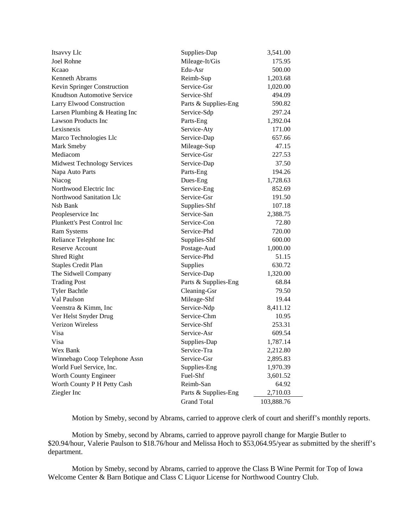| Itsavvy Llc                        | Supplies-Dap         | 3,541.00   |
|------------------------------------|----------------------|------------|
| <b>Joel Rohne</b>                  | Mileage-It/Gis       | 175.95     |
| Kcaao                              | Edu-Asr              | 500.00     |
| Kenneth Abrams                     | Reimb-Sup            | 1,203.68   |
| Kevin Springer Construction        | Service-Gsr          | 1,020.00   |
| Knudtson Automotive Service        | Service-Shf          | 494.09     |
| Larry Elwood Construction          | Parts & Supplies-Eng | 590.82     |
| Larsen Plumbing & Heating Inc      | Service-Sdp          | 297.24     |
| <b>Lawson Products Inc</b>         | Parts-Eng            | 1,392.04   |
| Lexisnexis                         | Service-Aty          | 171.00     |
| Marco Technologies Llc             | Service-Dap          | 657.66     |
| Mark Smeby                         | Mileage-Sup          | 47.15      |
| Mediacom                           | Service-Gsr          | 227.53     |
| <b>Midwest Technology Services</b> | Service-Dap          | 37.50      |
| Napa Auto Parts                    | Parts-Eng            | 194.26     |
| Niacog                             | Dues-Eng             | 1,728.63   |
| Northwood Electric Inc             | Service-Eng          | 852.69     |
| Northwood Sanitation Llc           | Service-Gsr          | 191.50     |
| Nsb Bank                           | Supplies-Shf         | 107.18     |
| Peopleservice Inc                  | Service-San          | 2,388.75   |
| Plunkett's Pest Control Inc        | Service-Con          | 72.80      |
| Ram Systems                        | Service-Phd          | 720.00     |
| Reliance Telephone Inc             | Supplies-Shf         | 600.00     |
| <b>Reserve Account</b>             | Postage-Aud          | 1,000.00   |
| Shred Right                        | Service-Phd          | 51.15      |
| <b>Staples Credit Plan</b>         | Supplies             | 630.72     |
| The Sidwell Company                | Service-Dap          | 1,320.00   |
| <b>Trading Post</b>                | Parts & Supplies-Eng | 68.84      |
| <b>Tyler Bachtle</b>               | Cleaning-Gsr         | 79.50      |
| Val Paulson                        | Mileage-Shf          | 19.44      |
| Veenstra & Kimm, Inc               | Service-Ndp          | 8,411.12   |
| Ver Helst Snyder Drug              | Service-Chm          | 10.95      |
| <b>Verizon Wireless</b>            | Service-Shf          | 253.31     |
| Visa                               | Service-Asr          | 609.54     |
| Visa                               | Supplies-Dap         | 1,787.14   |
| Wex Bank                           | Service-Tra          | 2,212.80   |
| Winnebago Coop Telephone Assn      | Service-Gsr          | 2,895.83   |
| World Fuel Service, Inc.           | Supplies-Eng         | 1,970.39   |
| Worth County Engineer              | Fuel-Shf             | 3,601.52   |
| Worth County P H Petty Cash        | Reimb-San            | 64.92      |
| Ziegler Inc                        | Parts & Supplies-Eng | 2,710.03   |
|                                    | <b>Grand Total</b>   | 103,888.76 |

Motion by Smeby, second by Abrams, carried to approve clerk of court and sheriff's monthly reports.

Motion by Smeby, second by Abrams, carried to approve payroll change for Margie Butler to \$20.94/hour, Valerie Paulson to \$18.76/hour and Melissa Hoch to \$53,064.95/year as submitted by the sheriff's department.

Motion by Smeby, second by Abrams, carried to approve the Class B Wine Permit for Top of Iowa Welcome Center & Barn Botique and Class C Liquor License for Northwood Country Club.